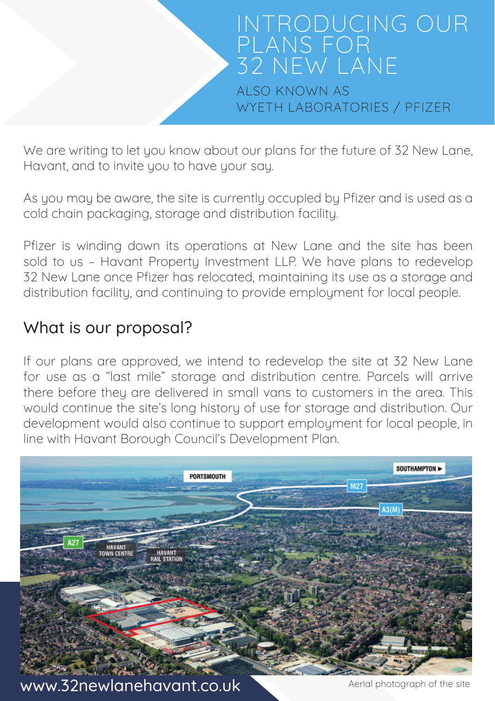

We are writing to let you know about our plans for the future of 32 New Lane. Havant, and to invite you to have your say.

As you may be aware, the site is currently occupied by Pfizer and is used as a cold chain packaging, storage and distribution facility.

Pfizer is winding down its operations at New Lane and the site has been sold to us – Havant Property Investment LLP. We have plans to redevelop 32 New Lane once Pfizer has relocated, maintaining its use as a storage and distribution facility, and continuing to provide employment for local people.

## What is our proposal?

If our plans are approved, we intend to redevelop the site at 32 New Lane for use as a "last mile" storage and distribution centre. Parcels will arrive there before they are delivered in small vans to customers in the area. This would continue the site's long history of use for storage and distribution. Our development would also continue to support employment for local people, in line with Havant Borough Council's Development Plan.



www.32newlanehavant.co.uk Aerial photograph of the site